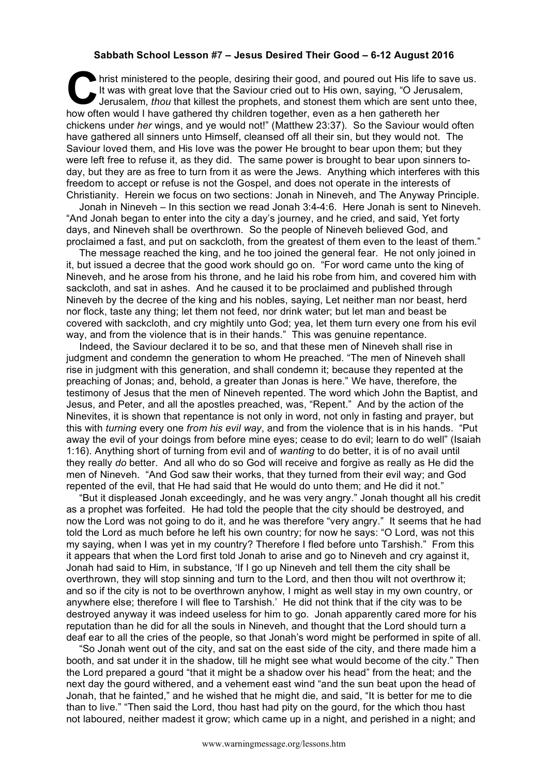## **Sabbath School Lesson #7 – Jesus Desired Their Good – 6-12 August 2016**

hrist ministered to the people, desiring their good, and poured out His life to save us.<br>
It was with great love that the Saviour cried out to His own, saying, "O Jerusalem,<br>
Jerusalem, *thou* that killest the prophets, an It was with great love that the Saviour cried out to His own, saying, "O Jerusalem, Jerusalem, *thou* that killest the prophets, and stonest them which are sent unto thee, how often would I have gathered thy children together, even as a hen gathereth her chickens under *her* wings, and ye would not!" (Matthew 23:37). So the Saviour would often have gathered all sinners unto Himself, cleansed off all their sin, but they would not. The Saviour loved them, and His love was the power He brought to bear upon them; but they were left free to refuse it, as they did. The same power is brought to bear upon sinners today, but they are as free to turn from it as were the Jews. Anything which interferes with this freedom to accept or refuse is not the Gospel, and does not operate in the interests of Christianity. Herein we focus on two sections: Jonah in Nineveh, and The Anyway Principle.

Jonah in Nineveh – In this section we read Jonah 3:4-4:6. Here Jonah is sent to Nineveh. "And Jonah began to enter into the city a day's journey, and he cried, and said, Yet forty days, and Nineveh shall be overthrown. So the people of Nineveh believed God, and proclaimed a fast, and put on sackcloth, from the greatest of them even to the least of them."

The message reached the king, and he too joined the general fear. He not only joined in it, but issued a decree that the good work should go on. "For word came unto the king of Nineveh, and he arose from his throne, and he laid his robe from him, and covered him with sackcloth, and sat in ashes. And he caused it to be proclaimed and published through Nineveh by the decree of the king and his nobles, saying, Let neither man nor beast, herd nor flock, taste any thing; let them not feed, nor drink water; but let man and beast be covered with sackcloth, and cry mightily unto God; yea, let them turn every one from his evil way, and from the violence that is in their hands." This was genuine repentance.

Indeed, the Saviour declared it to be so, and that these men of Nineveh shall rise in judgment and condemn the generation to whom He preached. "The men of Nineveh shall rise in judgment with this generation, and shall condemn it; because they repented at the preaching of Jonas; and, behold, a greater than Jonas is here." We have, therefore, the testimony of Jesus that the men of Nineveh repented. The word which John the Baptist, and Jesus, and Peter, and all the apostles preached, was, "Repent." And by the action of the Ninevites, it is shown that repentance is not only in word, not only in fasting and prayer, but this with *turning* every one *from his evil way*, and from the violence that is in his hands. "Put away the evil of your doings from before mine eyes; cease to do evil; learn to do well" (Isaiah 1:16). Anything short of turning from evil and of *wanting* to do better, it is of no avail until they really *do* better. And all who do so God will receive and forgive as really as He did the men of Nineveh. "And God saw their works, that they turned from their evil way; and God repented of the evil, that He had said that He would do unto them; and He did it not."

"But it displeased Jonah exceedingly, and he was very angry." Jonah thought all his credit as a prophet was forfeited. He had told the people that the city should be destroyed, and now the Lord was not going to do it, and he was therefore "very angry." It seems that he had told the Lord as much before he left his own country; for now he says: "O Lord, was not this my saying, when I was yet in my country? Therefore I fled before unto Tarshish." From this it appears that when the Lord first told Jonah to arise and go to Nineveh and cry against it, Jonah had said to Him, in substance, 'If I go up Nineveh and tell them the city shall be overthrown, they will stop sinning and turn to the Lord, and then thou wilt not overthrow it; and so if the city is not to be overthrown anyhow, I might as well stay in my own country, or anywhere else; therefore I will flee to Tarshish.' He did not think that if the city was to be destroyed anyway it was indeed useless for him to go. Jonah apparently cared more for his reputation than he did for all the souls in Nineveh, and thought that the Lord should turn a deaf ear to all the cries of the people, so that Jonah's word might be performed in spite of all.

"So Jonah went out of the city, and sat on the east side of the city, and there made him a booth, and sat under it in the shadow, till he might see what would become of the city." Then the Lord prepared a gourd "that it might be a shadow over his head" from the heat; and the next day the gourd withered, and a vehement east wind "and the sun beat upon the head of Jonah, that he fainted," and he wished that he might die, and said, "It is better for me to die than to live." "Then said the Lord, thou hast had pity on the gourd, for the which thou hast not laboured, neither madest it grow; which came up in a night, and perished in a night; and